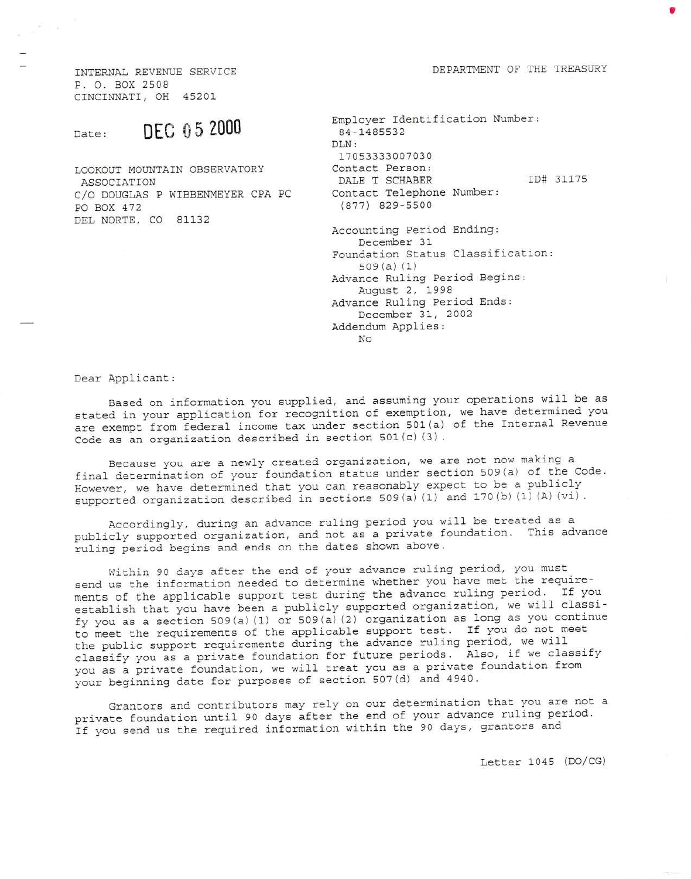DEPARTMENT OF THE TREASURY

INTERNAL REVENUE SERVICE P. O. BOX 2508 CINCINNATI, OH 452

## DEe 0 5 2000 Date:

LOOKOUT MOUNTAIN OBSERVATORY ASSOCIATION C/O DOUGLAS P WIBBENMEYER CPA PC PO BOX 472 DEL NORTE, CO 81132

| Employer Identification Number:<br>84-1485532    |           |
|--------------------------------------------------|-----------|
| DLN:                                             |           |
| 17053333007030                                   |           |
| Contact Person:                                  |           |
| DALE T SCHABER                                   | ID# 31175 |
| Contact Telephone Number:<br>$(877)$ 829-5500    |           |
| Accounting Period Ending:<br>December 31         |           |
| Foundation Status Classification:<br>509(a) (1)  |           |
| Advance Ruling Period Begins:<br>August 2, 1998  |           |
| Advance Ruling Period Ends:<br>December 31, 2002 |           |
| Addendum Applies:<br>No                          |           |

Dear Applicant:

Based on information you supplied, and assuming your operations will be as stated in your application for recognition of exemption, we have determined you are exempt from federal income tax under section 501 (a) of the Internal Revenue code as an organization described in section 501(c)(3).

Because you are a newly created organization, we are not now making <sup>a</sup> final determination of your foundation status under section  $509(a)$  of the Code. However, we have determined that you can reasonably expect to be a publicly supported organization described in sections 509 (a) (1) and 170 (b) (1) (A) (vi).

Accordingly, during an advance ruling period you will be treated as a publicly supported organization, and not as a private foundation. This advance ruling period begins and ends on the dates shown above.

Within 90 days after the end of your advance ruling period, you must send us the information needed to determine whether you have met the requirements of the applicable support test during the advance ruling period. If you establish that you have been a publicly supported organization, we will classify you as a section 509(a) (1) or 509(a) (2) organization as long as you continue to meet the requirements of the applicable support test. If you do not meet the public support requirements during the advance ruling period, we will classify you as a private foundation for future periods. Also, if we classify you as a private foundation, we will treat you as a private foundation from your beginning date for purposes of section 507 (d) and 4940.

Grantors and contributors may rely on our determination that you are not <sup>a</sup> private foundation until 90 days after the end of your advance ruling period. If you send us the required information within the 90 days, grantors and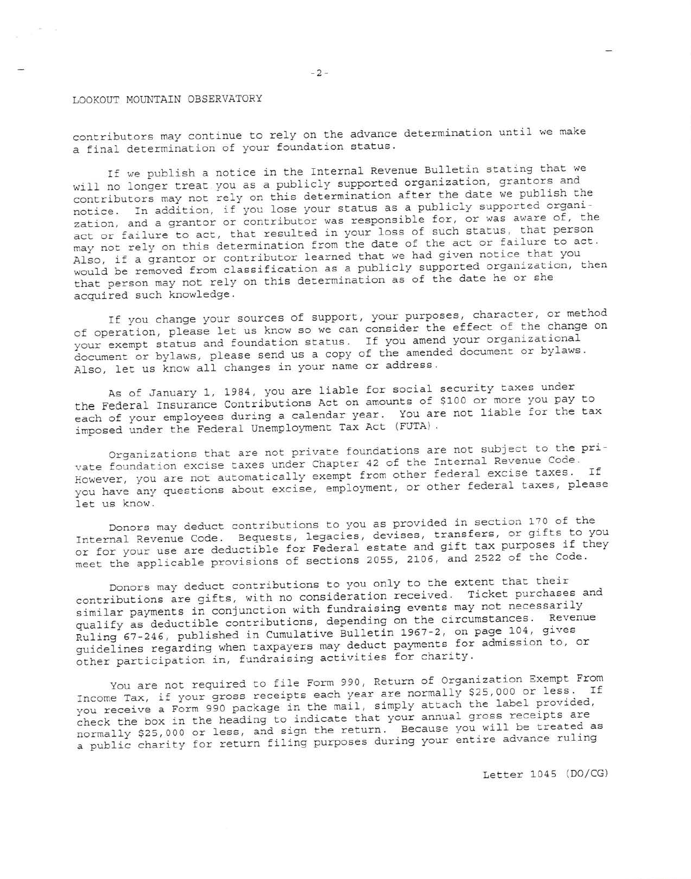## LOOKOUT MOUNTAIN OBSERVATORY

contributors may continue to rely on the advance determination until we make a final determination of your foundation status.

If we publish a notice in the Internal Revenue Bulletin stating that we will no longer treat you as a publicly supported organization, grantors and contributors may not rely on this determination after the date we publish the notice. In addition, if you lose your status as a publicly supported organization, and a grantor or contributor was responsible for, or was aware of, the act or failure to act, that resulted in your loss of such status, that person may not rely on this determination from the date of the act or failure to act. Also, if a grantor or contributor learned that we had given notice that you would be removed from classification as a publicly supported organization, then that person may not rely on this determination as of the date he or she acquired such knowledge.

If you change your sources of support, your purposes, character, or method of operation, please let us know so we can consider the effect of the change on your exempt status and foundation status. If you amend your organizational document or bylaws, please send us a copy of the amended document or bylaws. Also, let us know all changes in your name or address.

As of January 1, 1984, you are liable for social security taxes under the Federal Insurance Contributions Act on amounts of \$100 or more you pay to each of your employees during a calendar year. You are not liable for the tax imposed under the Federal Unemployment Tax Act (FUTA).

Organizations that are not private foundations are not subject to the private foundation excise taxes under Chapter 42 of the Internal Revenue Code. However, you are not automatically exempt from other federal excise taxes. If you have any questions about excise, employment, or other federal taxes, please let us know.

Donors may deduct contributions to you as provided in section 170 of the Internal Revenue Code. Bequests, legacies, devises, transfers, or gifts to you or for your use are deductible for Federal estate and gift tax purposes if they meet the applicable provisions of sections 2055, 2106, and 2522 of the Code.

Donors may deduct contributions to you only to the extent that their contributions are gifts, with no consideration received. Ticket purchases and similar payments in conjunction with fundraising events may not necessarily qualify as deductible contributions, depending on the circumstances. Revenue Ruling 67-246, published in Cumulative Bulletin 1967-2, on page 104, gives guidelines regarding when taxpayers may deduct payments for admission to, or other participation in, fundraising activities for charity.

You are not required to file Form 990, Return of Organization Exempt From Income Tax, if your gross receipts each year are normally \$25,000 or less. If you receive a Form 990 package in the mail, simply attach the label provided, check the box in the heading to indicate that your annual gross receipts are normally \$25,000 or less, and sign the return. Because you will be treated as a public charity for return filing purposes during your entire advance ruling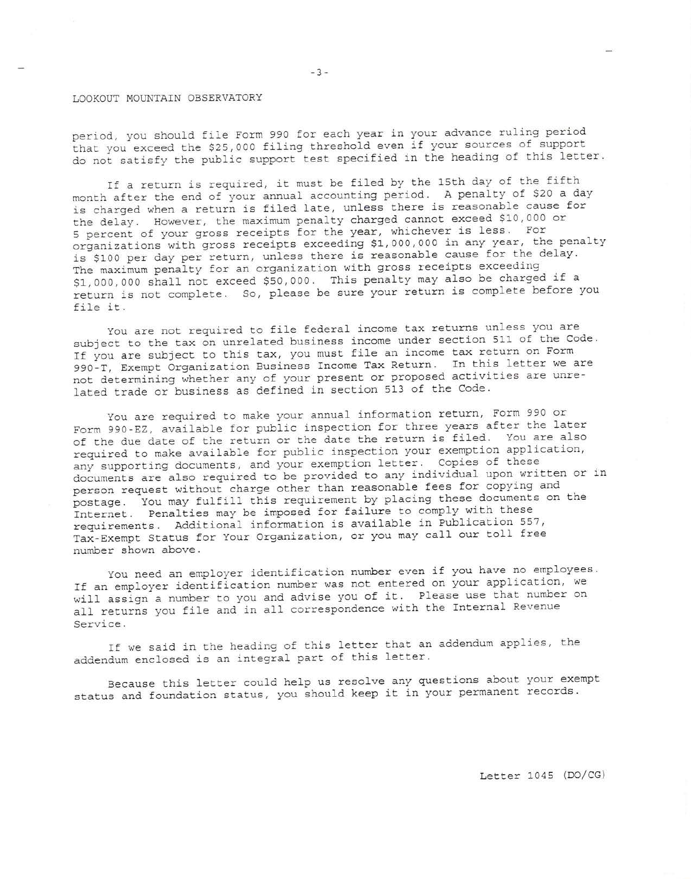## LOOKOUT MOUNTAIN OBSERVATORY

period., you should file Form 990 for each year in your advance ruling period that you exceed the \$25,000 filing threshold even if your sources of support do not satisfy the public support test specified in the heading of this letter.

If a return is required, it must be filed by the 15th day of the fifth month after the end of your annual accounting period. A penalty of \$20 a day is charged when a return is filed late, unless there is reasonable cause for the delay. However, the maximum penalty charged Cannot exceed \$10,000 or 5 percent of your gross receipts for the year, whichever is less. For organizations with gross receipts exceeding \$1,000,000 in any year, the penalty is \$100 per day per return, unless there is reasonable cause for the delay. The maximum penalty for an organization with gross receipts exceeding \$1,OOO,OO0 shalt not exceed \$50,000. This penalty may also be charged if <sup>a</sup> return is not complete. So, please be sure your return is complete before you<br>file it.

You are not required to file federal income tax returns unless you are subject to the tax on unrelated business income under section 511 of the Code. If you are subject to this tax, you must file an income tax return on Form ggo-T, Exempt organization Business Income Tax Return. In this letter we are not determining whether any of your present or proposed activities are unrelated trade or business as defined in section 513 0f the code.

you are required to make your annual information return, Form 990 or Form 990-EZ, available for public inspection for three years after the later of the due date of the return or the date the return is fi1ed. You are also required to make available for public inspection your exemption application, any supporting documents, and your exemption letter. Copies of these documents are also required to be provided to any individual upon written or in person request without charge other than reasonable fees for copying and postage. You may fulfill this requirement by placing these documents on the Internet. Penalties may be imposed for failure to comply with these requirements. Additional information is available in Publication 557, Tax-Exempt Status for Your Organization, or you may call our toll free number shown above.

You need an employer identification number even if you have no employees. If an employer identification number was not entered on your application, we will assign a number to you and advise you of it. Please use that number on all returns you file and in all correspondence with the Internal Revenue Service.

If we said in the heading of this letter that an addendum applies, the addendum enclosed is an integral part of this letter.

Because this letter could help us resolve any guestions about your exempt status and foundation status, you should keep it in your permanent records.